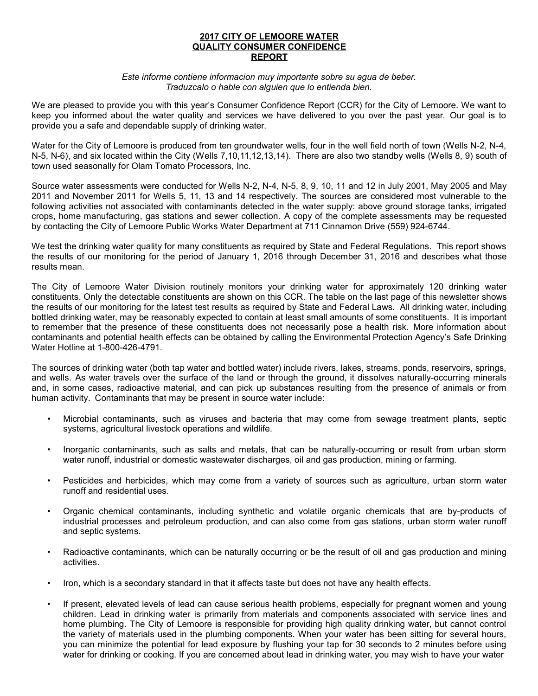## **2017 CITY OF LEMOORE WATER QUALITY CONSUMER CONFIDENCE R EP ORT**

#### *Este informe contiene informacion muy importante sobre su agua de beber. Traduzcalo o hable con alguien que lo entienda bien.*

We are pleased to provide you with this year's Consumer Confidence Report (CCR) for the City of Lemoore. We want to keep you informed about the water quality and services we have delivered to you over the past year. Our goal is to provide you a safe and dependable supply of drinking water.

Water for the City of Lemoore is produced from ten groundwater wells, four in the well field north of town (Wells N-2, N-4, N-5, N-6), and six located within the City (Wells 7,10,11,12,13,14). There are also two standby wells (Wells 8, 9) south of town used seasonally for Olam Tomato Processors, Inc.

Source water assessments were conducted for Wells N-2, N-4, N-5, 8, 9, 10, 11 and 12 in July 2001, May 2005 and May 2011 and November 2011 for Wells 5, 11, 13 and 14 respectively. The sources are considered most vulnerable to the following activities not associated with contaminants detected in the water supply: above ground storage tanks, irrigated crops, home manufacturing, gas stations and sewer collection. A copy of the complete assessments may be requested by contacting the City of Lemoore Public Works Water Department at 711 Cinnamon Drive (559) 924-6744.

We test the drinking water quality for many constituents as required by State and Federal Regulations. This report shows the results of our monitoring for the period of January 1, 2016 through December 31, 2016 and describes what those results mean.

The City of Lemoore Water Division routinely monitors your drinking water for approximately 120 drinking water constituents. Only the detectable constituents are shown on this CCR. The table on the last page of this newsletter shows the results of our monitoring for the latest test results as required by State and Federal Laws. All drinking water, including bottled drinking water, may be reasonably expected to contain at least small amounts of some constituents. It is important to remember that the presence of these constituents does not necessarily pose a health risk. More information about contaminants and potential health effects can be obtained by calling the Environmental Protection Agency's Safe Drinking Water Hotline at 1-800-426-4791.

The sources of drinking water (both tap water and bottled water) include rivers, lakes, streams, ponds, reservoirs, springs, and wells. As water travels over the surface of the land or through the ground, it dissolves naturally-occurring minerals and, in some cases, radioactive material, and can pick up substances resulting from the presence of animals or from human activity. Contaminants that may be present in source water include:

- Microbial contaminants, such as viruses and bacteria that may come from sewage treatment plants, septic systems, agricultural livestock operations and wildlife.
- Inorganic contaminants, such as salts and metals, that can be naturally-occurring or result from urban storm water runoff, industrial or domestic wastewater discharges, oil and gas production, mining or farming.
- Pesticides and herbicides, which may come from a variety of sources such as agriculture, urban storm water runoff and residential uses.
- Organic chemical contaminants, including synthetic and volatile organic chemicals that are by-products of industrial processes and petroleum production, and can also come from gas stations, urban storm water runoff and septic systems.
- Radioactive contaminants, which can be naturally occurring or be the result of oil and gas production and mining activities.
- Iron, which is a secondary standard in that it affects taste but does not have any health effects.
- If present, elevated levels of lead can cause serious health problems, especially for pregnant women and young children. Lead in drinking water is primarily from materials and components associated with service lines and home plumbing. The City of Lemoore is responsible for providing high quality drinking water, but cannot control the variety of materials used in the plumbing components. When your water has been sitting for several hours, you can minimize the potential for lead exposure by flushing your tap for 30 seconds to 2 minutes before using water for drinking or cooking. If you are concerned about lead in drinking water, you may wish to have your water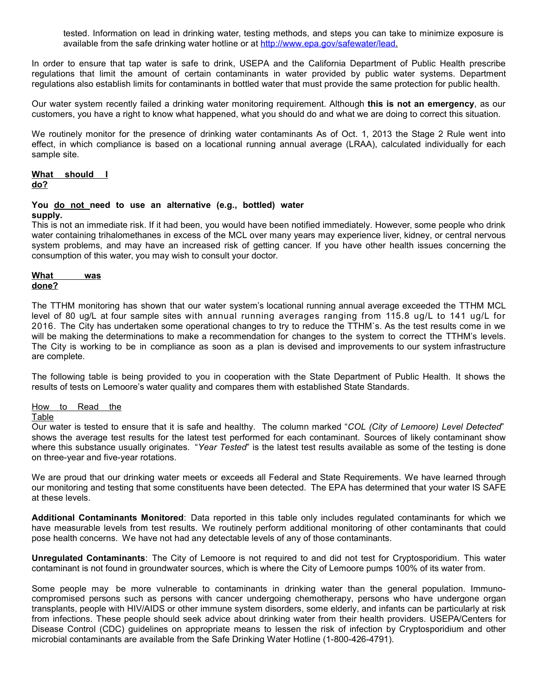tested. Information on lead in drinking water, testing methods, and steps you can take to minimize exposure is available from the safe drinking water hotline or at http://www.epa.gov/safewater/lead.

In order to ensure that tap water is safe to drink, USEPA and the California Department of Public Health prescribe regulations that limit the amount of certain contaminants in water provided by public water systems. Department regulations also establish limits for contaminants in bottled water that must provide the same protection for public health.

Our water system recently failed a drinking water monitoring requirement. Although **this is not an emergency**, as our customers, you have a right to know what happened, what you should do and what we are doing to correct this situation.

We routinely monitor for the presence of drinking water contaminants As of Oct. 1, 2013 the Stage 2 Rule went into effect, in which compliance is based on a locational running annual average (LRAA), calculated individually for each sample site.

#### **What should I do?**

#### **You do not need to use an alternative (e.g., bottled) water supply.**

This is not an immediate risk. If it had been, you would have been notified immediately. However, some people who drink water containing trihalomethanes in excess of the MCL over many years may experience liver, kidney, or central nervous system problems, and may have an increased risk of getting cancer. If you have other health issues concerning the consumption of this water, you may wish to consult your doctor.

### **What** was  **don e?**

The TTHM monitoring has shown that our water system's locational running annual average exceeded the TTHM MCL level of 80 ug/L at four sample sites with annual running averages ranging from 115.8 ug/L to 141 ug/L for 2016. The City has undertaken some operational changes to try to reduce the TTHM`s. As the test results come in we will be making the determinations to make a recommendation for changes to the system to correct the TTHM's levels. The City is working to be in compliance as soon as a plan is devised and improvements to our system infrastructure are complete.

The following table is being provided to you in cooperation with the State Department of Public Health. It shows the results of tests on Lemoore's water quality and compares them with established State Standards.

# How to Read the

## **Table**

Our water is tested to ensure that it is safe and healthy. The column marked "*COL (City of Lemoore) Level Detected*" shows the average test results for the latest test performed for each contaminant. Sources of likely contaminant show where this substance usually originates. "*Year Tested*" is the latest test results available as some of the testing is done on three-year and five-year rotations.

We are proud that our drinking water meets or exceeds all Federal and State Requirements. We have learned through our monitoring and testing that some constituents have been detected. The EPA has determined that your water IS SAFE at these levels.

**Additional Contaminants Monitored**: Data reported in this table only includes regulated contaminants for which we have measurable levels from test results. We routinely perform additional monitoring of other contaminants that could pose health concerns. We have not had any detectable levels of any of those contaminants.

**Unregulated Contaminants**: The City of Lemoore is not required to and did not test for Cryptosporidium. This water contaminant is not found in groundwater sources, which is where the City of Lemoore pumps 100% of its water from.

Some people may be more vulnerable to contaminants in drinking water than the general population. Immunocompromised persons such as persons with cancer undergoing chemotherapy, persons who have undergone organ transplants, people with HIV/AIDS or other immune system disorders, some elderly, and infants can be particularly at risk from infections. These people should seek advice about drinking water from their health providers. USEPA/Centers for Disease Control (CDC) guidelines on appropriate means to lessen the risk of infection by Cryptosporidium and other microbial contaminants are available from the Safe Drinking Water Hotline (1-800-426-4791).